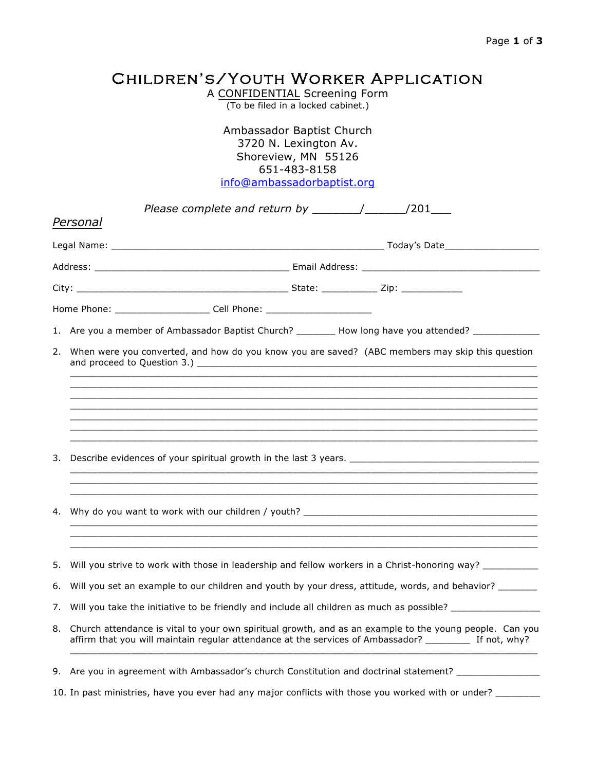## Children's/Youth Worker Application

A CONFIDENTIAL Screening Form (To be filed in a locked cabinet.)

Ambassador Baptist Church 3720 N. Lexington Av. Shoreview, MN 55126 651-483-8158 info@ambassadorbaptist.org

|                                                                                                                      | Please complete and return by $\frac{1}{\sqrt{2}}$ /201                                                                                                                                                           |  |  |  |  |  |  |  |  |
|----------------------------------------------------------------------------------------------------------------------|-------------------------------------------------------------------------------------------------------------------------------------------------------------------------------------------------------------------|--|--|--|--|--|--|--|--|
|                                                                                                                      | Personal                                                                                                                                                                                                          |  |  |  |  |  |  |  |  |
|                                                                                                                      |                                                                                                                                                                                                                   |  |  |  |  |  |  |  |  |
|                                                                                                                      |                                                                                                                                                                                                                   |  |  |  |  |  |  |  |  |
|                                                                                                                      |                                                                                                                                                                                                                   |  |  |  |  |  |  |  |  |
|                                                                                                                      | Home Phone: __________________________ Cell Phone: _____________________________                                                                                                                                  |  |  |  |  |  |  |  |  |
|                                                                                                                      | 1. Are you a member of Ambassador Baptist Church? ________ How long have you attended? ____________                                                                                                               |  |  |  |  |  |  |  |  |
| 2.                                                                                                                   | When were you converted, and how do you know you are saved? (ABC members may skip this question                                                                                                                   |  |  |  |  |  |  |  |  |
|                                                                                                                      |                                                                                                                                                                                                                   |  |  |  |  |  |  |  |  |
|                                                                                                                      |                                                                                                                                                                                                                   |  |  |  |  |  |  |  |  |
|                                                                                                                      |                                                                                                                                                                                                                   |  |  |  |  |  |  |  |  |
| <u> 1989 - Andrea Santa Alemania, amerikana amerikana amerikana amerikana amerikana amerikana amerikana amerikan</u> |                                                                                                                                                                                                                   |  |  |  |  |  |  |  |  |
|                                                                                                                      |                                                                                                                                                                                                                   |  |  |  |  |  |  |  |  |
| 4.                                                                                                                   |                                                                                                                                                                                                                   |  |  |  |  |  |  |  |  |
|                                                                                                                      |                                                                                                                                                                                                                   |  |  |  |  |  |  |  |  |
| 5.                                                                                                                   | Will you strive to work with those in leadership and fellow workers in a Christ-honoring way? ___________                                                                                                         |  |  |  |  |  |  |  |  |
| 6.                                                                                                                   | Will you set an example to our children and youth by your dress, attitude, words, and behavior? _______                                                                                                           |  |  |  |  |  |  |  |  |
| 7.                                                                                                                   | Will you take the initiative to be friendly and include all children as much as possible? ________________                                                                                                        |  |  |  |  |  |  |  |  |
| 8.                                                                                                                   | Church attendance is vital to your own spiritual growth, and as an example to the young people. Can you<br>affirm that you will maintain regular attendance at the services of Ambassador? _________ If not, why? |  |  |  |  |  |  |  |  |
|                                                                                                                      | 9. Are you in agreement with Ambassador's church Constitution and doctrinal statement? ____________                                                                                                               |  |  |  |  |  |  |  |  |

10. In past ministries, have you ever had any major conflicts with those you worked with or under? \_\_\_\_\_\_\_\_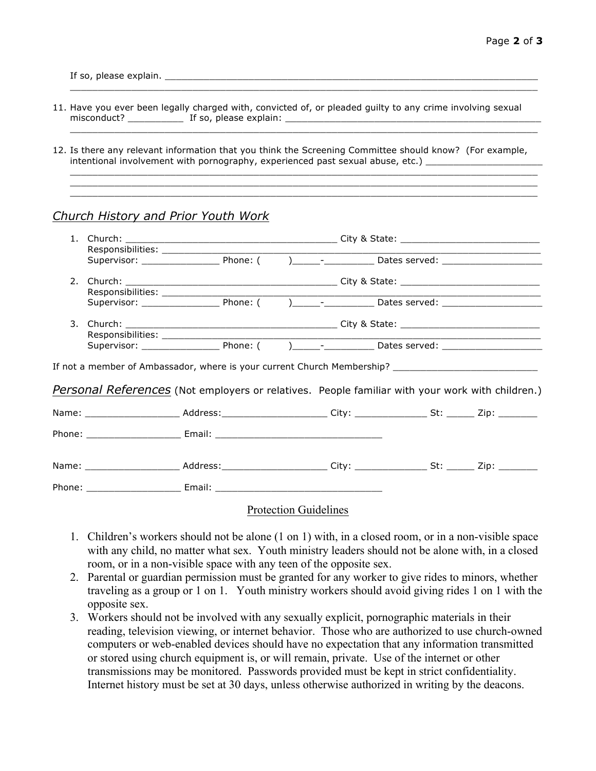If so, please explain. \_\_\_\_\_\_\_\_\_\_\_\_\_\_\_\_\_\_\_\_\_\_\_\_\_\_\_\_\_\_\_\_\_\_\_\_\_\_\_\_\_\_\_\_\_\_\_\_\_\_\_\_\_\_\_\_\_\_\_\_\_\_\_\_\_\_\_

11. Have you ever been legally charged with, convicted of, or pleaded guilty to any crime involving sexual misconduct? \_\_\_\_\_\_\_\_\_\_ If so, please explain: \_\_\_\_\_\_\_\_\_\_\_\_\_\_\_\_\_\_\_\_\_\_\_\_\_\_\_\_\_\_\_\_\_\_\_\_\_\_\_\_\_\_\_\_\_\_

\_\_\_\_\_\_\_\_\_\_\_\_\_\_\_\_\_\_\_\_\_\_\_\_\_\_\_\_\_\_\_\_\_\_\_\_\_\_\_\_\_\_\_\_\_\_\_\_\_\_\_\_\_\_\_\_\_\_\_\_\_\_\_\_\_\_\_\_\_\_\_\_\_\_\_\_\_\_\_\_\_\_\_\_

 $\mathcal{L}_\mathcal{L} = \{ \mathcal{L}_\mathcal{L} = \{ \mathcal{L}_\mathcal{L} = \{ \mathcal{L}_\mathcal{L} = \{ \mathcal{L}_\mathcal{L} = \{ \mathcal{L}_\mathcal{L} = \{ \mathcal{L}_\mathcal{L} = \{ \mathcal{L}_\mathcal{L} = \{ \mathcal{L}_\mathcal{L} = \{ \mathcal{L}_\mathcal{L} = \{ \mathcal{L}_\mathcal{L} = \{ \mathcal{L}_\mathcal{L} = \{ \mathcal{L}_\mathcal{L} = \{ \mathcal{L}_\mathcal{L} = \{ \mathcal{L}_\mathcal{$ 

\_\_\_\_\_\_\_\_\_\_\_\_\_\_\_\_\_\_\_\_\_\_\_\_\_\_\_\_\_\_\_\_\_\_\_\_\_\_\_\_\_\_\_\_\_\_\_\_\_\_\_\_\_\_\_\_\_\_\_\_\_\_\_\_\_\_\_\_\_\_\_\_\_\_\_\_\_\_\_\_\_\_\_\_  $\mathcal{L}_\mathcal{L} = \{ \mathcal{L}_\mathcal{L} = \{ \mathcal{L}_\mathcal{L} = \{ \mathcal{L}_\mathcal{L} = \{ \mathcal{L}_\mathcal{L} = \{ \mathcal{L}_\mathcal{L} = \{ \mathcal{L}_\mathcal{L} = \{ \mathcal{L}_\mathcal{L} = \{ \mathcal{L}_\mathcal{L} = \{ \mathcal{L}_\mathcal{L} = \{ \mathcal{L}_\mathcal{L} = \{ \mathcal{L}_\mathcal{L} = \{ \mathcal{L}_\mathcal{L} = \{ \mathcal{L}_\mathcal{L} = \{ \mathcal{L}_\mathcal{$ \_\_\_\_\_\_\_\_\_\_\_\_\_\_\_\_\_\_\_\_\_\_\_\_\_\_\_\_\_\_\_\_\_\_\_\_\_\_\_\_\_\_\_\_\_\_\_\_\_\_\_\_\_\_\_\_\_\_\_\_\_\_\_\_\_\_\_\_\_\_\_\_\_\_\_\_\_\_\_\_\_\_\_\_

12. Is there any relevant information that you think the Screening Committee should know? (For example, intentional involvement with pornography, experienced past sexual abuse, etc.) \_\_\_\_\_\_\_\_\_

## *Church History and Prior Youth Work*

|  |                                                                                                                                                                                                         |  | Supervisor: Phone: ( ) - Dates served: |  |  |  |
|--|---------------------------------------------------------------------------------------------------------------------------------------------------------------------------------------------------------|--|----------------------------------------|--|--|--|
|  |                                                                                                                                                                                                         |  |                                        |  |  |  |
|  | Supervisor: Phone: ( ) - Dates served:                                                                                                                                                                  |  |                                        |  |  |  |
|  | If not a member of Ambassador, where is your current Church Membership? ____________________________<br>Personal References (Not employers or relatives. People familiar with your work with children.) |  |                                        |  |  |  |
|  |                                                                                                                                                                                                         |  |                                        |  |  |  |
|  |                                                                                                                                                                                                         |  |                                        |  |  |  |
|  | Name: ________________________ Address:________________________City: ________________St: ________ Zip: ________                                                                                         |  |                                        |  |  |  |
|  |                                                                                                                                                                                                         |  |                                        |  |  |  |
|  |                                                                                                                                                                                                         |  |                                        |  |  |  |

Protection Guidelines

- 1. Children's workers should not be alone (1 on 1) with, in a closed room, or in a non-visible space with any child, no matter what sex. Youth ministry leaders should not be alone with, in a closed room, or in a non-visible space with any teen of the opposite sex.
- 2. Parental or guardian permission must be granted for any worker to give rides to minors, whether traveling as a group or 1 on 1. Youth ministry workers should avoid giving rides 1 on 1 with the opposite sex.
- 3. Workers should not be involved with any sexually explicit, pornographic materials in their reading, television viewing, or internet behavior. Those who are authorized to use church-owned computers or web-enabled devices should have no expectation that any information transmitted or stored using church equipment is, or will remain, private. Use of the internet or other transmissions may be monitored. Passwords provided must be kept in strict confidentiality. Internet history must be set at 30 days, unless otherwise authorized in writing by the deacons.